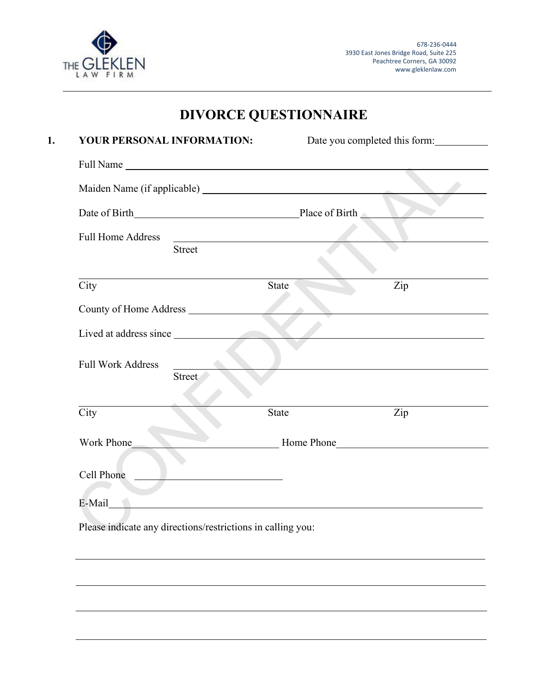

# **DIVORCE QUESTIONNAIRE**

| YOUR PERSONAL INFORMATION: |                                                                                                                                                                                                                                      | Date you completed this form: |                                                                                                                      |
|----------------------------|--------------------------------------------------------------------------------------------------------------------------------------------------------------------------------------------------------------------------------------|-------------------------------|----------------------------------------------------------------------------------------------------------------------|
|                            |                                                                                                                                                                                                                                      |                               |                                                                                                                      |
|                            |                                                                                                                                                                                                                                      |                               |                                                                                                                      |
|                            | Date of Birth Place of Birth                                                                                                                                                                                                         |                               |                                                                                                                      |
| <b>Full Home Address</b>   | <u>and the contract of the contract of the contract of the contract of the contract of the contract of the contract of the contract of the contract of the contract of the contract of the contract of the contract of the contr</u> |                               |                                                                                                                      |
|                            | Street                                                                                                                                                                                                                               |                               |                                                                                                                      |
| City                       |                                                                                                                                                                                                                                      | <b>State</b>                  | Zip                                                                                                                  |
|                            |                                                                                                                                                                                                                                      |                               |                                                                                                                      |
|                            | Lived at address since                                                                                                                                                                                                               |                               |                                                                                                                      |
| <b>Full Work Address</b>   | Street                                                                                                                                                                                                                               |                               |                                                                                                                      |
| City                       |                                                                                                                                                                                                                                      | <b>State</b>                  | Zip                                                                                                                  |
| Work Phone                 |                                                                                                                                                                                                                                      |                               | Home Phone                                                                                                           |
| Cell Phone                 | <u> 1989 - Johann Barbara, martxa eta idazlea </u>                                                                                                                                                                                   |                               |                                                                                                                      |
| E-Mail                     |                                                                                                                                                                                                                                      |                               | <u> 1989 - Johann Stein, marwolaethau a bhann an t-Amhain an t-Amhain an t-Amhain an t-Amhain an t-Amhain an t-A</u> |
|                            | Please indicate any directions/restrictions in calling you:                                                                                                                                                                          |                               |                                                                                                                      |
|                            |                                                                                                                                                                                                                                      |                               |                                                                                                                      |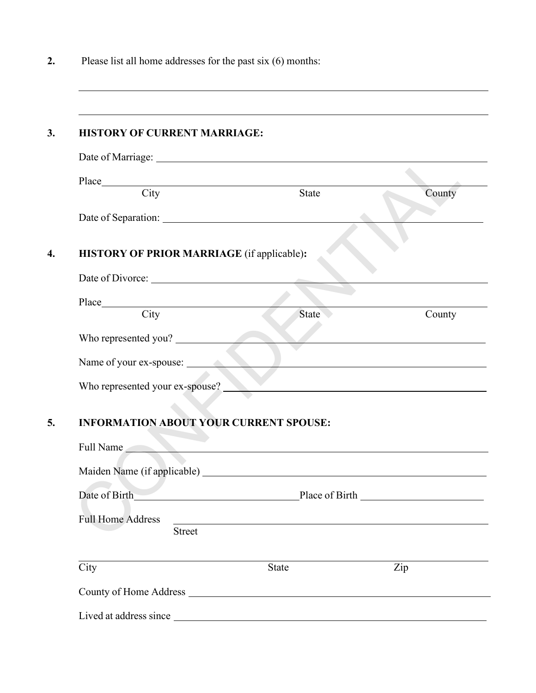**2.** Please list all home addresses for the past six (6) months:

|                                               |                                                                                                                                                                                                                               | County                                                                                                                                                                                                                               |
|-----------------------------------------------|-------------------------------------------------------------------------------------------------------------------------------------------------------------------------------------------------------------------------------|--------------------------------------------------------------------------------------------------------------------------------------------------------------------------------------------------------------------------------------|
|                                               |                                                                                                                                                                                                                               |                                                                                                                                                                                                                                      |
| HISTORY OF PRIOR MARRIAGE (if applicable):    |                                                                                                                                                                                                                               |                                                                                                                                                                                                                                      |
|                                               |                                                                                                                                                                                                                               |                                                                                                                                                                                                                                      |
|                                               |                                                                                                                                                                                                                               |                                                                                                                                                                                                                                      |
|                                               | State                                                                                                                                                                                                                         | County                                                                                                                                                                                                                               |
| Who represented you?                          |                                                                                                                                                                                                                               | <u> Estados de la contrada de la contrada de la contrada de la contrada de la contrada de la contrada de la contrada de la contrada de la contrada de la contrada de la contrada de la contrada de la contrada de la contrada de</u> |
|                                               | Name of your ex-spouse:                                                                                                                                                                                                       |                                                                                                                                                                                                                                      |
| Who represented your ex-spouse?               |                                                                                                                                                                                                                               |                                                                                                                                                                                                                                      |
| <b>INFORMATION ABOUT YOUR CURRENT SPOUSE:</b> |                                                                                                                                                                                                                               |                                                                                                                                                                                                                                      |
|                                               | Full Name and the contract of the contract of the contract of the contract of the contract of the contract of the contract of the contract of the contract of the contract of the contract of the contract of the contract of |                                                                                                                                                                                                                                      |
|                                               |                                                                                                                                                                                                                               |                                                                                                                                                                                                                                      |
| Date of Birth                                 | Place of Birth Place of Birth                                                                                                                                                                                                 |                                                                                                                                                                                                                                      |
| <b>Full Home Address</b><br><b>Street</b>     |                                                                                                                                                                                                                               |                                                                                                                                                                                                                                      |
|                                               |                                                                                                                                                                                                                               |                                                                                                                                                                                                                                      |
| City                                          | <b>State</b>                                                                                                                                                                                                                  | Zip                                                                                                                                                                                                                                  |
|                                               |                                                                                                                                                                                                                               |                                                                                                                                                                                                                                      |

<u> 1989 - Johann Stoff, amerikansk politiker (d. 1989)</u>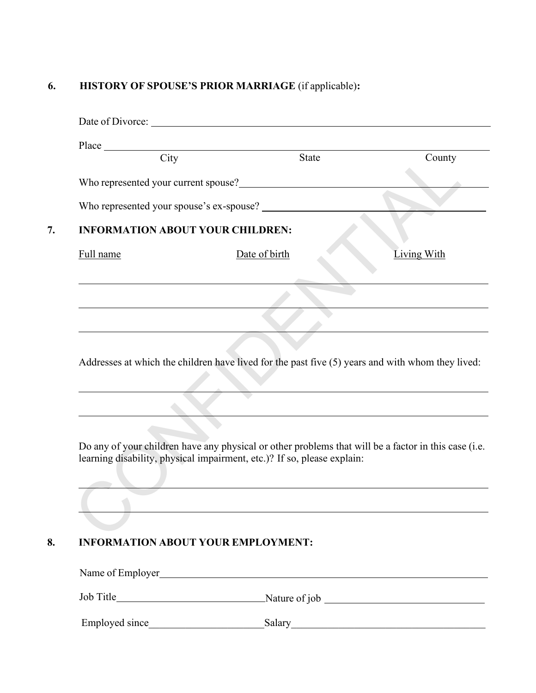## **6. HISTORY OF SPOUSE'S PRIOR MARRIAGE** (if applicable)**:**

|           | Place City Stat                                                                                                                                                                 | <b>State</b> | County                                                                                                                                                                                                                        |
|-----------|---------------------------------------------------------------------------------------------------------------------------------------------------------------------------------|--------------|-------------------------------------------------------------------------------------------------------------------------------------------------------------------------------------------------------------------------------|
|           | Who represented your current spouse?<br><u> </u>                                                                                                                                |              |                                                                                                                                                                                                                               |
|           |                                                                                                                                                                                 |              |                                                                                                                                                                                                                               |
|           |                                                                                                                                                                                 |              |                                                                                                                                                                                                                               |
|           | <b>INFORMATION ABOUT YOUR CHILDREN:</b>                                                                                                                                         |              |                                                                                                                                                                                                                               |
| Full name | Date of birth                                                                                                                                                                   |              | <b>Living With</b>                                                                                                                                                                                                            |
|           |                                                                                                                                                                                 |              |                                                                                                                                                                                                                               |
|           |                                                                                                                                                                                 |              |                                                                                                                                                                                                                               |
|           |                                                                                                                                                                                 |              |                                                                                                                                                                                                                               |
|           |                                                                                                                                                                                 |              |                                                                                                                                                                                                                               |
|           |                                                                                                                                                                                 |              |                                                                                                                                                                                                                               |
|           | Addresses at which the children have lived for the past five (5) years and with whom they lived:                                                                                |              |                                                                                                                                                                                                                               |
|           |                                                                                                                                                                                 |              | the control of the control of the control of the control of the control of the control of the control of the control of the control of the control of the control of the control of the control of the control of the control |
|           | Do any of your children have any physical or other problems that will be a factor in this case (i.e.<br>learning disability, physical impairment, etc.)? If so, please explain: |              |                                                                                                                                                                                                                               |
|           |                                                                                                                                                                                 |              |                                                                                                                                                                                                                               |
|           |                                                                                                                                                                                 |              |                                                                                                                                                                                                                               |
|           | <b>INFORMATION ABOUT YOUR EMPLOYMENT:</b>                                                                                                                                       |              |                                                                                                                                                                                                                               |
|           | Name of Employer<br><u>Name of Employer</u>                                                                                                                                     |              |                                                                                                                                                                                                                               |

Employed since\_\_\_\_\_\_\_\_\_\_\_\_\_\_\_\_\_\_\_\_\_\_Salary\_\_\_\_\_\_\_\_\_\_\_\_\_\_\_\_\_\_\_\_\_\_\_\_\_\_\_\_\_\_\_\_\_\_\_\_\_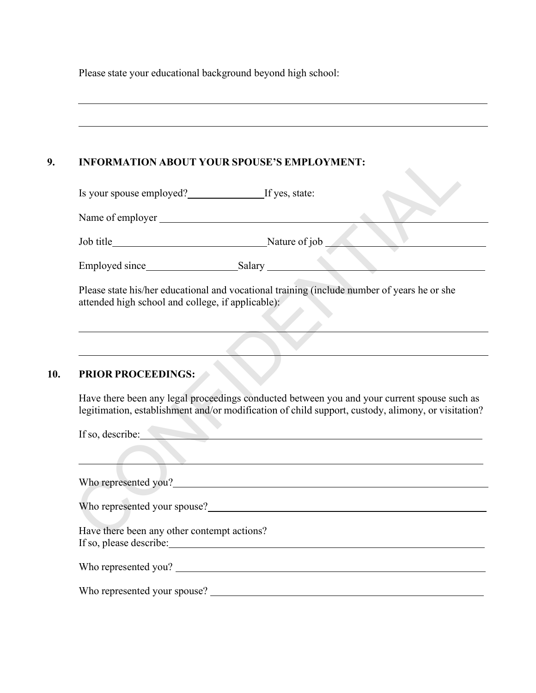Please state your educational background beyond high school:

| Is your spouse employed?<br>If yes, state:        |                                                                                                                                                                                                   |  |
|---------------------------------------------------|---------------------------------------------------------------------------------------------------------------------------------------------------------------------------------------------------|--|
|                                                   |                                                                                                                                                                                                   |  |
|                                                   |                                                                                                                                                                                                   |  |
|                                                   | Job title<br>Employed since<br>Salary<br>Salary<br>Salary                                                                                                                                         |  |
| attended high school and college, if applicable): | Please state his/her educational and vocational training (include number of years he or she                                                                                                       |  |
|                                                   |                                                                                                                                                                                                   |  |
| <b>PRIOR PROCEEDINGS:</b>                         | Have there been any legal proceedings conducted between you and your current spouse such as<br>legitimation, establishment and/or modification of child support, custody, alimony, or visitation? |  |
|                                                   |                                                                                                                                                                                                   |  |
|                                                   | If so, describe:                                                                                                                                                                                  |  |
|                                                   |                                                                                                                                                                                                   |  |
|                                                   |                                                                                                                                                                                                   |  |
| Have there been any other contempt actions?       |                                                                                                                                                                                                   |  |
|                                                   | Who represented you?                                                                                                                                                                              |  |

<u> 1989 - Johann Barn, mars ann an t-Amhainn an t-Amhainn an t-Amhainn an t-Amhainn an t-Amhainn an t-Amhainn a</u>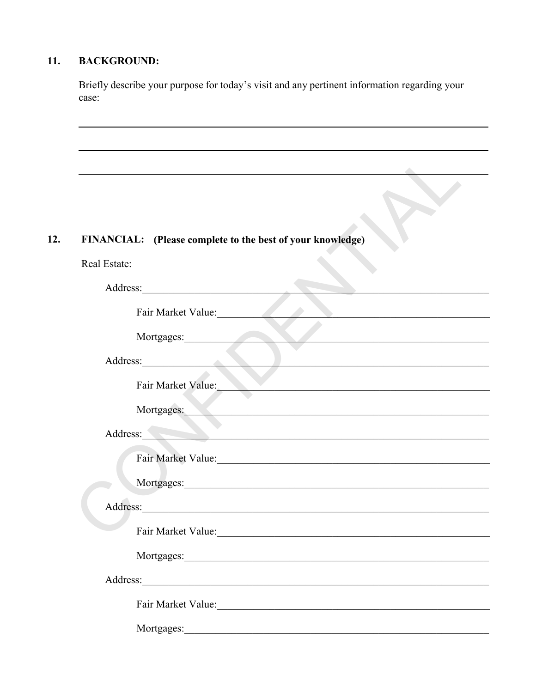### $11.$ **BACKGROUND:**

Briefly describe your purpose for today's visit and any pertinent information regarding your case:

### $12.$ FINANCIAL: (Please complete to the best of your knowledge)

| Real Estate: |                                                                                                                                                                                                                                |
|--------------|--------------------------------------------------------------------------------------------------------------------------------------------------------------------------------------------------------------------------------|
| Address:     | <u> 1986 - Johann Stoff, deutscher Stoff, der Stoff, der Stoff, der Stoff, der Stoff, der Stoff, der Stoff, der S</u>                                                                                                          |
|              | Fair Market Value:                                                                                                                                                                                                             |
|              | Mortgages:                                                                                                                                                                                                                     |
|              | Address: No. 1988.<br><u> 1989 - Johann John Stoff, mars eta baino eta mondo eta mondo eta mondo eta mondo eta mondo eta mondo eta mondo</u>                                                                                   |
|              | Fair Market Value:<br><u> 1989 - Johann Barn, mars and de Brandenburg (b. 1989)</u>                                                                                                                                            |
|              | Mortgages:                                                                                                                                                                                                                     |
| Address:     | <u> District de la partie de la partie de la partie de la partie de la partie de la partie de la partie de la pa</u>                                                                                                           |
|              | Fair Market Value: 1988 and 1988 and 1988 and 1988 and 1988 and 1988 and 1988 and 1988 and 1988 and 1988 and 19                                                                                                                |
|              |                                                                                                                                                                                                                                |
|              |                                                                                                                                                                                                                                |
|              | Fair Market Value:                                                                                                                                                                                                             |
|              | Mortgages: 1988 and 1988 and 1988 and 1988 and 1988 and 1988 and 1988 and 1988 and 1988 and 1988 and 1988 and 1988 and 1988 and 1988 and 1988 and 1988 and 1988 and 1988 and 1988 and 1988 and 1988 and 1988 and 1988 and 1988 |
|              |                                                                                                                                                                                                                                |
|              | Fair Market Value: 1998                                                                                                                                                                                                        |
|              |                                                                                                                                                                                                                                |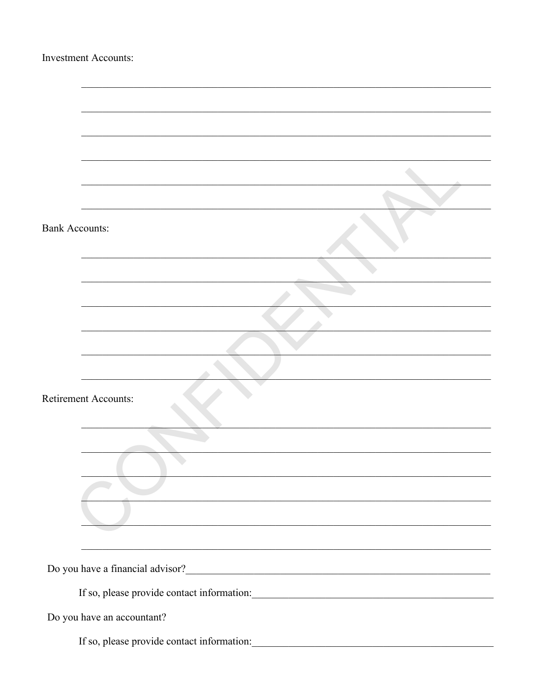| <b>Investment Accounts:</b>                                                                                            |
|------------------------------------------------------------------------------------------------------------------------|
|                                                                                                                        |
|                                                                                                                        |
|                                                                                                                        |
|                                                                                                                        |
|                                                                                                                        |
|                                                                                                                        |
|                                                                                                                        |
| <b>Bank Accounts:</b>                                                                                                  |
|                                                                                                                        |
|                                                                                                                        |
|                                                                                                                        |
|                                                                                                                        |
|                                                                                                                        |
| <b>Retirement Accounts:</b>                                                                                            |
| <u> 1990 - Johann John Stoff, mars and de British and de British and de British and de British and de British and </u> |
| <u> 1989 - Johann Stein, marwolaethau a bhann an t-Amhain ann an t-Amhain an t-Amhain an t-Amhain an t-Amhain an </u>  |
|                                                                                                                        |
| <u> 1989 - Jan Samuel Barbara, margaret a shekara 1989 - An tsaran 1989 - An tsaran 1989 - An tsaran 1989 - An tsa</u> |
|                                                                                                                        |
|                                                                                                                        |
| If so, please provide contact information:                                                                             |
| Do you have an accountant?                                                                                             |
| If so, please provide contact information:                                                                             |